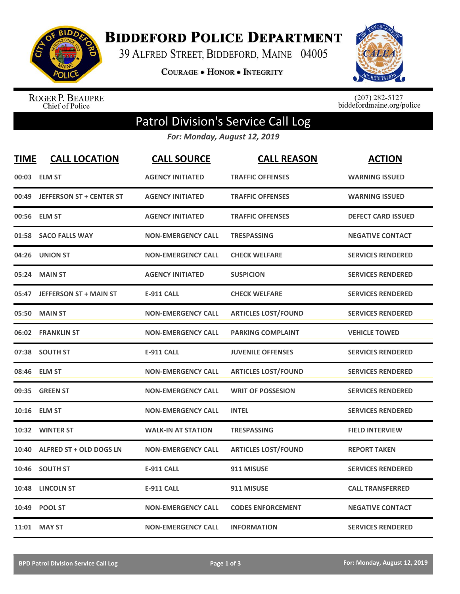

**BIDDEFORD POLICE DEPARTMENT** 

39 ALFRED STREET, BIDDEFORD, MAINE 04005

**COURAGE . HONOR . INTEGRITY** 



ROGER P. BEAUPRE<br>Chief of Police

 $(207)$  282-5127<br>biddefordmaine.org/police

## Patrol Division's Service Call Log

*For: Monday, August 12, 2019*

| <b>TIME</b> | <b>CALL LOCATION</b>           | <b>CALL SOURCE</b>        | <b>CALL REASON</b>         | <b>ACTION</b>             |
|-------------|--------------------------------|---------------------------|----------------------------|---------------------------|
|             | 00:03 ELM ST                   | <b>AGENCY INITIATED</b>   | <b>TRAFFIC OFFENSES</b>    | <b>WARNING ISSUED</b>     |
|             | 00:49 JEFFERSON ST + CENTER ST | <b>AGENCY INITIATED</b>   | <b>TRAFFIC OFFENSES</b>    | <b>WARNING ISSUED</b>     |
|             | 00:56 ELM ST                   | <b>AGENCY INITIATED</b>   | <b>TRAFFIC OFFENSES</b>    | <b>DEFECT CARD ISSUED</b> |
|             | 01:58 SACO FALLS WAY           | <b>NON-EMERGENCY CALL</b> | <b>TRESPASSING</b>         | <b>NEGATIVE CONTACT</b>   |
| 04:26       | <b>UNION ST</b>                | <b>NON-EMERGENCY CALL</b> | <b>CHECK WELFARE</b>       | <b>SERVICES RENDERED</b>  |
|             | 05:24 MAIN ST                  | <b>AGENCY INITIATED</b>   | <b>SUSPICION</b>           | <b>SERVICES RENDERED</b>  |
|             | 05:47 JEFFERSON ST + MAIN ST   | <b>E-911 CALL</b>         | <b>CHECK WELFARE</b>       | <b>SERVICES RENDERED</b>  |
| 05:50       | <b>MAIN ST</b>                 | <b>NON-EMERGENCY CALL</b> | <b>ARTICLES LOST/FOUND</b> | <b>SERVICES RENDERED</b>  |
|             | 06:02 FRANKLIN ST              | <b>NON-EMERGENCY CALL</b> | <b>PARKING COMPLAINT</b>   | <b>VEHICLE TOWED</b>      |
|             | 07:38 SOUTH ST                 | <b>E-911 CALL</b>         | <b>JUVENILE OFFENSES</b>   | <b>SERVICES RENDERED</b>  |
|             | 08:46 ELM ST                   | <b>NON-EMERGENCY CALL</b> | <b>ARTICLES LOST/FOUND</b> | <b>SERVICES RENDERED</b>  |
| 09:35       | <b>GREEN ST</b>                | <b>NON-EMERGENCY CALL</b> | <b>WRIT OF POSSESION</b>   | <b>SERVICES RENDERED</b>  |
|             | 10:16 ELM ST                   | <b>NON-EMERGENCY CALL</b> | <b>INTEL</b>               | <b>SERVICES RENDERED</b>  |
|             | 10:32 WINTER ST                | <b>WALK-IN AT STATION</b> | <b>TRESPASSING</b>         | <b>FIELD INTERVIEW</b>    |
| 10:40       | <b>ALFRED ST + OLD DOGS LN</b> | <b>NON-EMERGENCY CALL</b> | <b>ARTICLES LOST/FOUND</b> | <b>REPORT TAKEN</b>       |
|             | 10:46 SOUTH ST                 | <b>E-911 CALL</b>         | 911 MISUSE                 | <b>SERVICES RENDERED</b>  |
| 10:48       | <b>LINCOLN ST</b>              | <b>E-911 CALL</b>         | 911 MISUSE                 | <b>CALL TRANSFERRED</b>   |
| 10:49       | <b>POOL ST</b>                 | <b>NON-EMERGENCY CALL</b> | <b>CODES ENFORCEMENT</b>   | <b>NEGATIVE CONTACT</b>   |
|             | 11:01 MAY ST                   | <b>NON-EMERGENCY CALL</b> | <b>INFORMATION</b>         | <b>SERVICES RENDERED</b>  |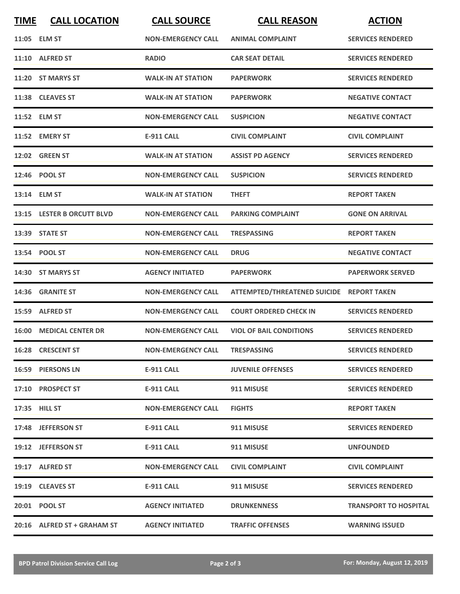| <b>TIME</b> | <b>CALL LOCATION</b>           | <b>CALL SOURCE</b>        | <b>CALL REASON</b>                        | <b>ACTION</b>                |
|-------------|--------------------------------|---------------------------|-------------------------------------------|------------------------------|
|             | 11:05 ELM ST                   | <b>NON-EMERGENCY CALL</b> | <b>ANIMAL COMPLAINT</b>                   | <b>SERVICES RENDERED</b>     |
|             | 11:10 ALFRED ST                | <b>RADIO</b>              | <b>CAR SEAT DETAIL</b>                    | <b>SERVICES RENDERED</b>     |
|             | 11:20 ST MARYS ST              | <b>WALK-IN AT STATION</b> | <b>PAPERWORK</b>                          | <b>SERVICES RENDERED</b>     |
|             | 11:38 CLEAVES ST               | <b>WALK-IN AT STATION</b> | <b>PAPERWORK</b>                          | <b>NEGATIVE CONTACT</b>      |
|             | 11:52 ELM ST                   | <b>NON-EMERGENCY CALL</b> | <b>SUSPICION</b>                          | <b>NEGATIVE CONTACT</b>      |
|             | 11:52 EMERY ST                 | <b>E-911 CALL</b>         | <b>CIVIL COMPLAINT</b>                    | <b>CIVIL COMPLAINT</b>       |
|             | 12:02 GREEN ST                 | <b>WALK-IN AT STATION</b> | <b>ASSIST PD AGENCY</b>                   | <b>SERVICES RENDERED</b>     |
|             | 12:46 POOL ST                  | <b>NON-EMERGENCY CALL</b> | <b>SUSPICION</b>                          | <b>SERVICES RENDERED</b>     |
|             | 13:14 ELM ST                   | <b>WALK-IN AT STATION</b> | <b>THEFT</b>                              | <b>REPORT TAKEN</b>          |
|             | 13:15 LESTER B ORCUTT BLVD     | <b>NON-EMERGENCY CALL</b> | <b>PARKING COMPLAINT</b>                  | <b>GONE ON ARRIVAL</b>       |
|             | 13:39 STATE ST                 | <b>NON-EMERGENCY CALL</b> | <b>TRESPASSING</b>                        | <b>REPORT TAKEN</b>          |
|             | 13:54 POOL ST                  | <b>NON-EMERGENCY CALL</b> | <b>DRUG</b>                               | <b>NEGATIVE CONTACT</b>      |
|             | 14:30 ST MARYS ST              | <b>AGENCY INITIATED</b>   | <b>PAPERWORK</b>                          | <b>PAPERWORK SERVED</b>      |
|             | 14:36 GRANITE ST               | <b>NON-EMERGENCY CALL</b> | ATTEMPTED/THREATENED SUICIDE REPORT TAKEN |                              |
|             | 15:59 ALFRED ST                | <b>NON-EMERGENCY CALL</b> | <b>COURT ORDERED CHECK IN</b>             | <b>SERVICES RENDERED</b>     |
|             | <b>16:00 MEDICAL CENTER DR</b> | <b>NON-EMERGENCY CALL</b> | <b>VIOL OF BAIL CONDITIONS</b>            | <b>SERVICES RENDERED</b>     |
|             | 16:28 CRESCENT ST              | <b>NON-EMERGENCY CALL</b> | <b>TRESPASSING</b>                        | <b>SERVICES RENDERED</b>     |
|             | 16:59 PIERSONS LN              | E-911 CALL                | <b>JUVENILE OFFENSES</b>                  | <b>SERVICES RENDERED</b>     |
|             | 17:10 PROSPECT ST              | <b>E-911 CALL</b>         | 911 MISUSE                                | <b>SERVICES RENDERED</b>     |
|             | 17:35 HILL ST                  | <b>NON-EMERGENCY CALL</b> | <b>FIGHTS</b>                             | <b>REPORT TAKEN</b>          |
|             | 17:48 JEFFERSON ST             | E-911 CALL                | 911 MISUSE                                | <b>SERVICES RENDERED</b>     |
|             | 19:12 JEFFERSON ST             | E-911 CALL                | 911 MISUSE                                | <b>UNFOUNDED</b>             |
|             | 19:17 ALFRED ST                | <b>NON-EMERGENCY CALL</b> | <b>CIVIL COMPLAINT</b>                    | <b>CIVIL COMPLAINT</b>       |
|             | 19:19 CLEAVES ST               | <b>E-911 CALL</b>         | 911 MISUSE                                | <b>SERVICES RENDERED</b>     |
|             | 20:01 POOL ST                  | <b>AGENCY INITIATED</b>   | <b>DRUNKENNESS</b>                        | <b>TRANSPORT TO HOSPITAL</b> |
|             | 20:16 ALFRED ST + GRAHAM ST    | <b>AGENCY INITIATED</b>   | <b>TRAFFIC OFFENSES</b>                   | <b>WARNING ISSUED</b>        |